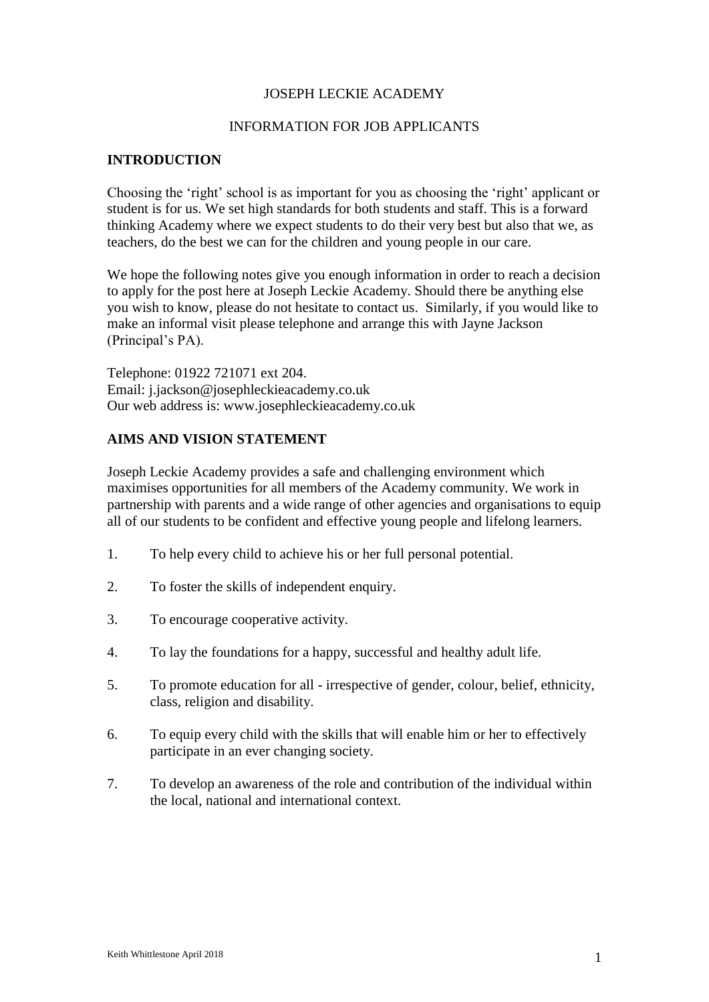## JOSEPH LECKIE ACADEMY

## INFORMATION FOR JOB APPLICANTS

## **INTRODUCTION**

Choosing the 'right' school is as important for you as choosing the 'right' applicant or student is for us. We set high standards for both students and staff. This is a forward thinking Academy where we expect students to do their very best but also that we, as teachers, do the best we can for the children and young people in our care.

We hope the following notes give you enough information in order to reach a decision to apply for the post here at Joseph Leckie Academy. Should there be anything else you wish to know, please do not hesitate to contact us. Similarly, if you would like to make an informal visit please telephone and arrange this with Jayne Jackson (Principal's PA).

Telephone: 01922 721071 ext 204. Email: j.jackson@josephleckieacademy.co.uk Our web address is: www.josephleckieacademy.co.uk

# **AIMS AND VISION STATEMENT**

Joseph Leckie Academy provides a safe and challenging environment which maximises opportunities for all members of the Academy community. We work in partnership with parents and a wide range of other agencies and organisations to equip all of our students to be confident and effective young people and lifelong learners.

- 1. To help every child to achieve his or her full personal potential.
- 2. To foster the skills of independent enquiry.
- 3. To encourage cooperative activity.
- 4. To lay the foundations for a happy, successful and healthy adult life.
- 5. To promote education for all irrespective of gender, colour, belief, ethnicity, class, religion and disability.
- 6. To equip every child with the skills that will enable him or her to effectively participate in an ever changing society.
- 7. To develop an awareness of the role and contribution of the individual within the local, national and international context.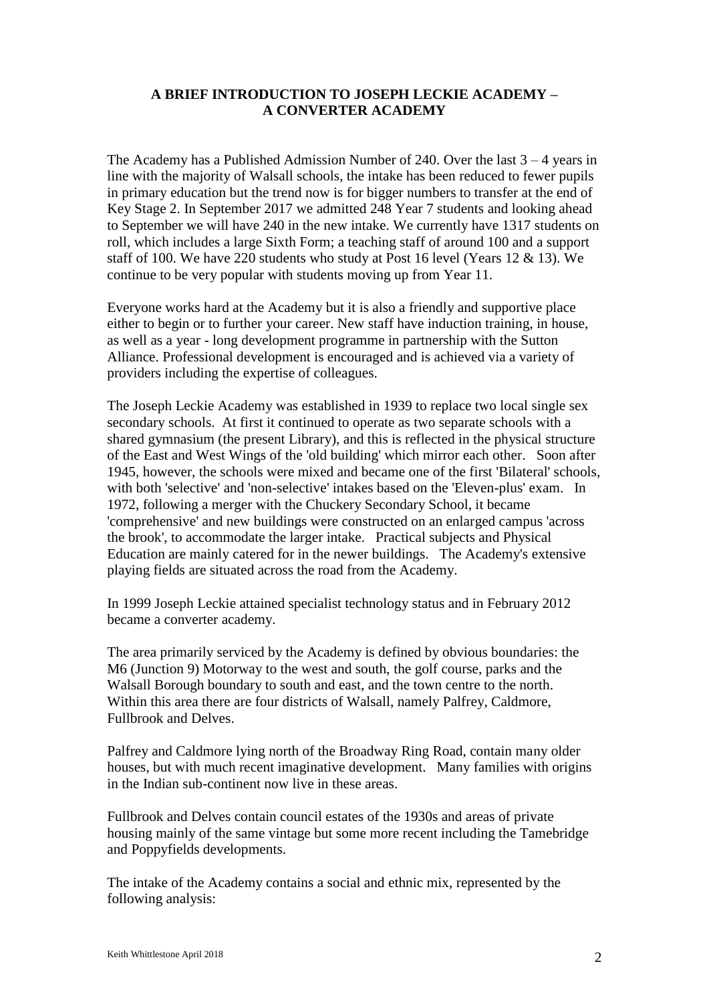# **A BRIEF INTRODUCTION TO JOSEPH LECKIE ACADEMY – A CONVERTER ACADEMY**

The Academy has a Published Admission Number of 240. Over the last  $3 - 4$  years in line with the majority of Walsall schools, the intake has been reduced to fewer pupils in primary education but the trend now is for bigger numbers to transfer at the end of Key Stage 2. In September 2017 we admitted 248 Year 7 students and looking ahead to September we will have 240 in the new intake. We currently have 1317 students on roll, which includes a large Sixth Form; a teaching staff of around 100 and a support staff of 100. We have 220 students who study at Post 16 level (Years 12 & 13). We continue to be very popular with students moving up from Year 11.

Everyone works hard at the Academy but it is also a friendly and supportive place either to begin or to further your career. New staff have induction training, in house, as well as a year - long development programme in partnership with the Sutton Alliance. Professional development is encouraged and is achieved via a variety of providers including the expertise of colleagues.

The Joseph Leckie Academy was established in 1939 to replace two local single sex secondary schools. At first it continued to operate as two separate schools with a shared gymnasium (the present Library), and this is reflected in the physical structure of the East and West Wings of the 'old building' which mirror each other. Soon after 1945, however, the schools were mixed and became one of the first 'Bilateral' schools, with both 'selective' and 'non-selective' intakes based on the 'Eleven-plus' exam. In 1972, following a merger with the Chuckery Secondary School, it became 'comprehensive' and new buildings were constructed on an enlarged campus 'across the brook', to accommodate the larger intake. Practical subjects and Physical Education are mainly catered for in the newer buildings. The Academy's extensive playing fields are situated across the road from the Academy.

In 1999 Joseph Leckie attained specialist technology status and in February 2012 became a converter academy.

The area primarily serviced by the Academy is defined by obvious boundaries: the M6 (Junction 9) Motorway to the west and south, the golf course, parks and the Walsall Borough boundary to south and east, and the town centre to the north. Within this area there are four districts of Walsall, namely Palfrey, Caldmore, Fullbrook and Delves.

Palfrey and Caldmore lying north of the Broadway Ring Road, contain many older houses, but with much recent imaginative development. Many families with origins in the Indian sub-continent now live in these areas.

Fullbrook and Delves contain council estates of the 1930s and areas of private housing mainly of the same vintage but some more recent including the Tamebridge and Poppyfields developments.

The intake of the Academy contains a social and ethnic mix, represented by the following analysis: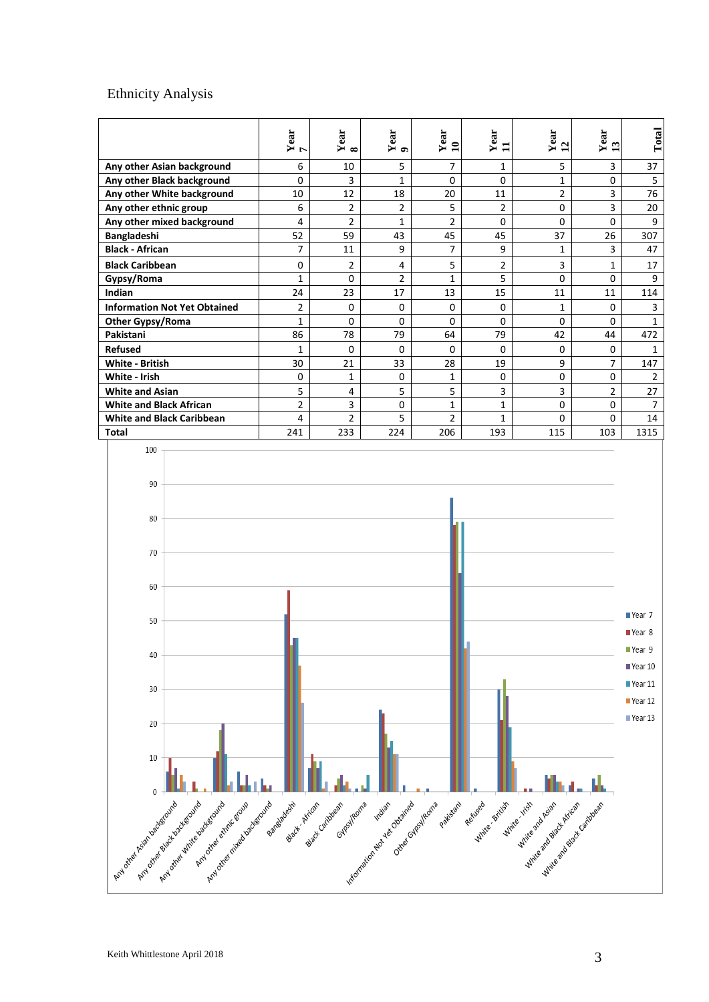# Ethnicity Analysis

|                                     | $\frac{Year}{7}$ | Year<br>$\infty$ | Year<br>$\bullet$ | Year<br>$\mathbf{10}$ | Year<br>$\mathbf{1}$ | Year<br>12     | Year<br>13     | Total          |
|-------------------------------------|------------------|------------------|-------------------|-----------------------|----------------------|----------------|----------------|----------------|
| Any other Asian background          | 6                | 10               | 5                 | $\overline{7}$        | 1                    | 5              | 3              | 37             |
| Any other Black background          | $\Omega$         | 3                | 1                 | 0                     | $\Omega$             | 1              | $\Omega$       | 5              |
| Any other White background          | 10               | 12               | 18                | 20                    | 11                   | $\overline{2}$ | 3              | 76             |
| Any other ethnic group              | 6                | $\overline{2}$   | 2                 | 5                     | 2                    | 0              | 3              | 20             |
| Any other mixed background          | 4                | $\overline{2}$   | $\mathbf{1}$      | $\overline{2}$        | $\Omega$             | 0              | $\Omega$       | 9              |
| Bangladeshi                         | 52               | 59               | 43                | 45                    | 45                   | 37             | 26             | 307            |
| <b>Black - African</b>              | $\overline{7}$   | 11               | 9                 | 7                     | 9                    | $\mathbf{1}$   | 3              | 47             |
| <b>Black Caribbean</b>              | $\Omega$         | $\overline{2}$   | 4                 | 5                     | 2                    | 3              | $\mathbf{1}$   | 17             |
| Gypsy/Roma                          | $\mathbf{1}$     | $\Omega$         | $\overline{2}$    | $\mathbf{1}$          | 5                    | 0              | $\Omega$       | 9              |
| Indian                              | 24               | 23               | 17                | 13                    | 15                   | 11             | 11             | 114            |
| <b>Information Not Yet Obtained</b> | $\overline{2}$   | $\mathbf 0$      | 0                 | 0                     | $\Omega$             | 1              | $\Omega$       | 3              |
| Other Gypsy/Roma                    | $\mathbf{1}$     | $\Omega$         | 0                 | $\overline{0}$        | $\Omega$             | 0              | $\Omega$       | 1              |
| Pakistani                           | 86               | 78               | 79                | 64                    | 79                   | 42             | 44             | 472            |
| <b>Refused</b>                      | $\mathbf{1}$     | $\Omega$         | $\Omega$          | $\Omega$              | $\Omega$             | 0              | $\Omega$       | $\mathbf{1}$   |
| <b>White - British</b>              | 30               | 21               | 33                | 28                    | 19                   | 9              | 7              | 147            |
| White - Irish                       | 0                | $\mathbf{1}$     | 0                 | 1                     | $\mathbf 0$          | 0              | $\Omega$       | 2              |
| <b>White and Asian</b>              | 5                | 4                | 5                 | 5                     | 3                    | 3              | $\overline{2}$ | 27             |
| <b>White and Black African</b>      | $\overline{2}$   | 3                | 0                 | $\mathbf{1}$          | 1                    | 0              | $\Omega$       | $\overline{7}$ |
| <b>White and Black Caribbean</b>    | 4                | $\overline{2}$   | 5                 | $\overline{2}$        | $\mathbf{1}$         | 0              | $\Omega$       | 14             |
| <b>Total</b>                        | 241              | 233              | 224               | 206                   | 193                  | 115            | 103            | 1315           |
| 100<br>90                           |                  |                  |                   |                       |                      |                |                |                |

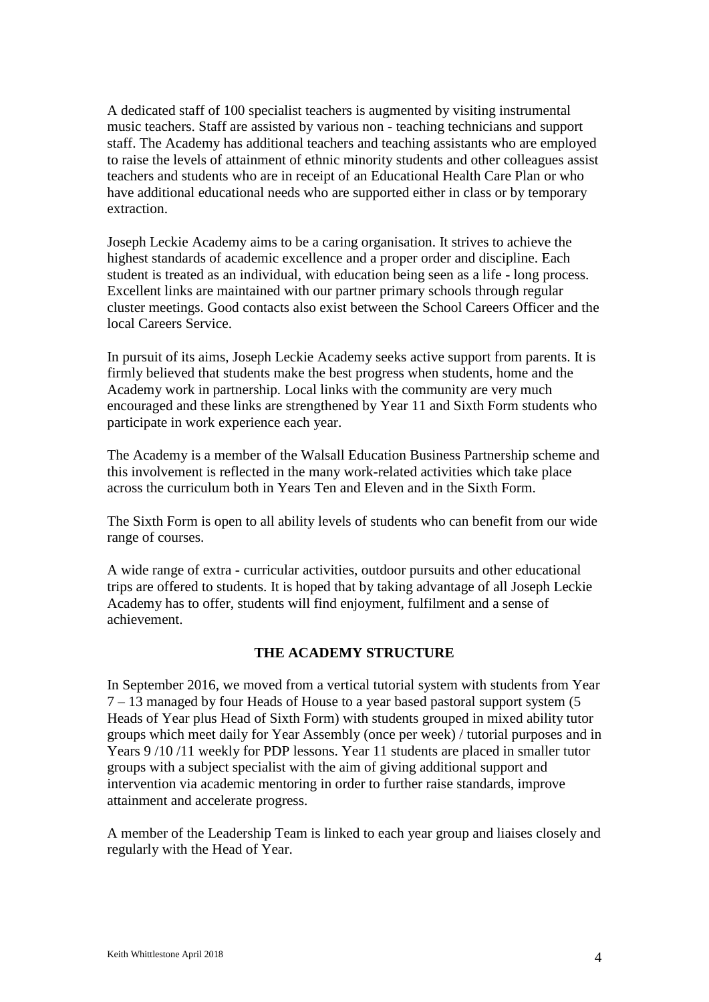A dedicated staff of 100 specialist teachers is augmented by visiting instrumental music teachers. Staff are assisted by various non - teaching technicians and support staff. The Academy has additional teachers and teaching assistants who are employed to raise the levels of attainment of ethnic minority students and other colleagues assist teachers and students who are in receipt of an Educational Health Care Plan or who have additional educational needs who are supported either in class or by temporary extraction.

Joseph Leckie Academy aims to be a caring organisation. It strives to achieve the highest standards of academic excellence and a proper order and discipline. Each student is treated as an individual, with education being seen as a life - long process. Excellent links are maintained with our partner primary schools through regular cluster meetings. Good contacts also exist between the School Careers Officer and the local Careers Service.

In pursuit of its aims, Joseph Leckie Academy seeks active support from parents. It is firmly believed that students make the best progress when students, home and the Academy work in partnership. Local links with the community are very much encouraged and these links are strengthened by Year 11 and Sixth Form students who participate in work experience each year.

The Academy is a member of the Walsall Education Business Partnership scheme and this involvement is reflected in the many work-related activities which take place across the curriculum both in Years Ten and Eleven and in the Sixth Form.

The Sixth Form is open to all ability levels of students who can benefit from our wide range of courses.

A wide range of extra - curricular activities, outdoor pursuits and other educational trips are offered to students. It is hoped that by taking advantage of all Joseph Leckie Academy has to offer, students will find enjoyment, fulfilment and a sense of achievement.

### **THE ACADEMY STRUCTURE**

In September 2016, we moved from a vertical tutorial system with students from Year 7 – 13 managed by four Heads of House to a year based pastoral support system (5 Heads of Year plus Head of Sixth Form) with students grouped in mixed ability tutor groups which meet daily for Year Assembly (once per week) / tutorial purposes and in Years 9 /10 /11 weekly for PDP lessons. Year 11 students are placed in smaller tutor groups with a subject specialist with the aim of giving additional support and intervention via academic mentoring in order to further raise standards, improve attainment and accelerate progress.

A member of the Leadership Team is linked to each year group and liaises closely and regularly with the Head of Year.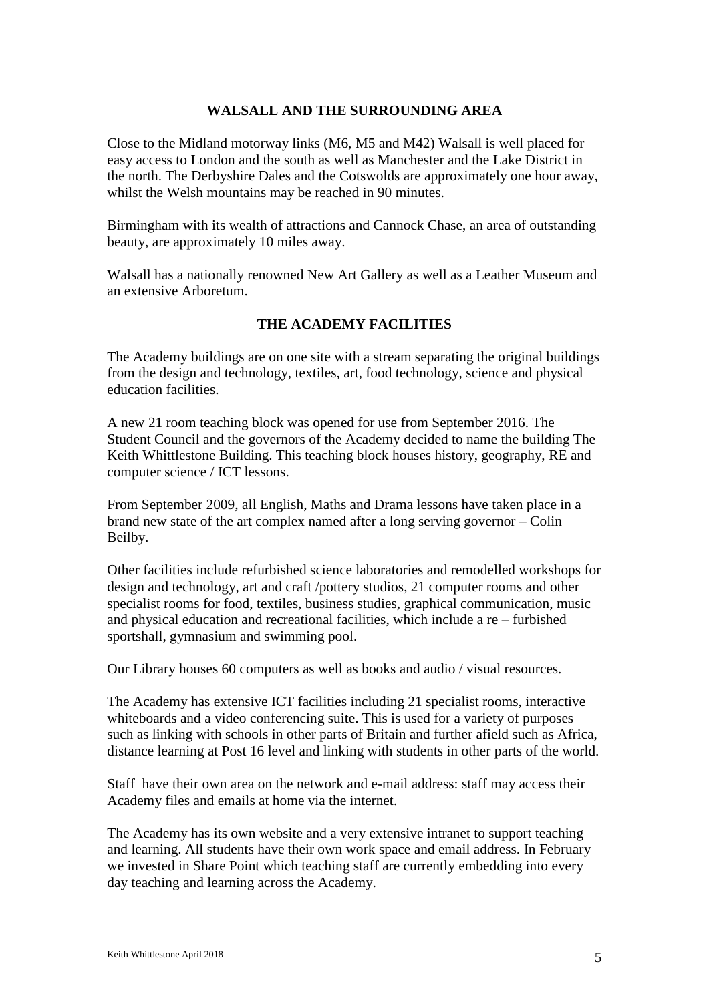#### **WALSALL AND THE SURROUNDING AREA**

Close to the Midland motorway links (M6, M5 and M42) Walsall is well placed for easy access to London and the south as well as Manchester and the Lake District in the north. The Derbyshire Dales and the Cotswolds are approximately one hour away, whilst the Welsh mountains may be reached in 90 minutes.

Birmingham with its wealth of attractions and Cannock Chase, an area of outstanding beauty, are approximately 10 miles away.

Walsall has a nationally renowned New Art Gallery as well as a Leather Museum and an extensive Arboretum.

### **THE ACADEMY FACILITIES**

The Academy buildings are on one site with a stream separating the original buildings from the design and technology, textiles, art, food technology, science and physical education facilities.

A new 21 room teaching block was opened for use from September 2016. The Student Council and the governors of the Academy decided to name the building The Keith Whittlestone Building. This teaching block houses history, geography, RE and computer science / ICT lessons.

From September 2009, all English, Maths and Drama lessons have taken place in a brand new state of the art complex named after a long serving governor – Colin Beilby.

Other facilities include refurbished science laboratories and remodelled workshops for design and technology, art and craft /pottery studios, 21 computer rooms and other specialist rooms for food, textiles, business studies, graphical communication, music and physical education and recreational facilities, which include a re – furbished sportshall, gymnasium and swimming pool.

Our Library houses 60 computers as well as books and audio / visual resources.

The Academy has extensive ICT facilities including 21 specialist rooms, interactive whiteboards and a video conferencing suite. This is used for a variety of purposes such as linking with schools in other parts of Britain and further afield such as Africa, distance learning at Post 16 level and linking with students in other parts of the world.

Staff have their own area on the network and e-mail address: staff may access their Academy files and emails at home via the internet.

The Academy has its own website and a very extensive intranet to support teaching and learning. All students have their own work space and email address. In February we invested in Share Point which teaching staff are currently embedding into every day teaching and learning across the Academy.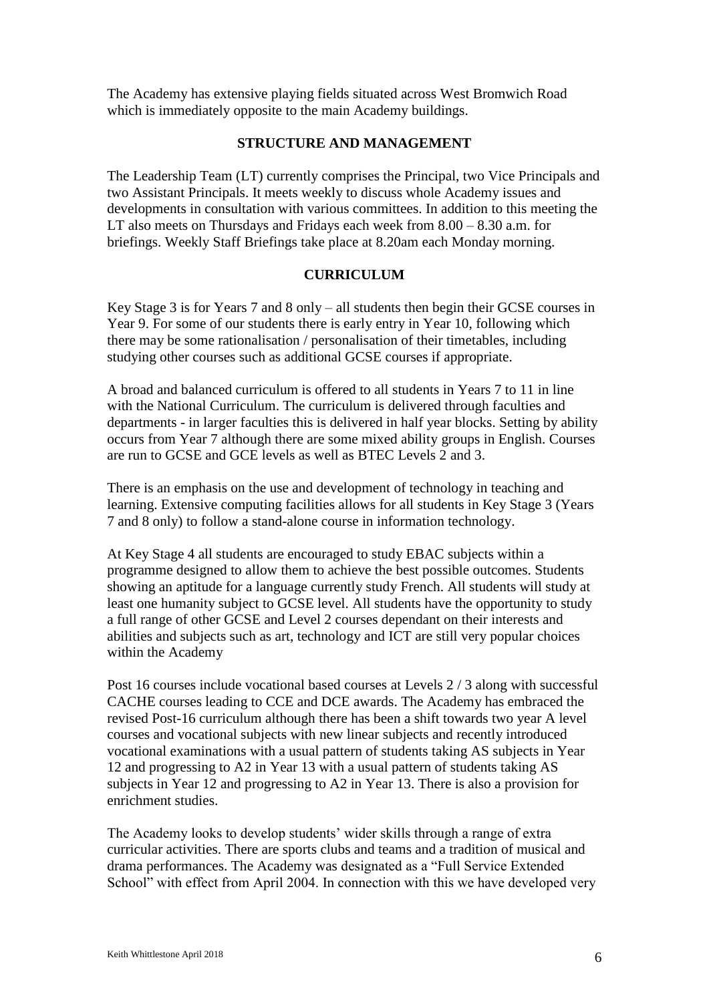The Academy has extensive playing fields situated across West Bromwich Road which is immediately opposite to the main Academy buildings.

#### **STRUCTURE AND MANAGEMENT**

The Leadership Team (LT) currently comprises the Principal, two Vice Principals and two Assistant Principals. It meets weekly to discuss whole Academy issues and developments in consultation with various committees. In addition to this meeting the LT also meets on Thursdays and Fridays each week from 8.00 – 8.30 a.m. for briefings. Weekly Staff Briefings take place at 8.20am each Monday morning.

#### **CURRICULUM**

Key Stage 3 is for Years 7 and 8 only – all students then begin their GCSE courses in Year 9. For some of our students there is early entry in Year 10, following which there may be some rationalisation / personalisation of their timetables, including studying other courses such as additional GCSE courses if appropriate.

A broad and balanced curriculum is offered to all students in Years 7 to 11 in line with the National Curriculum. The curriculum is delivered through faculties and departments - in larger faculties this is delivered in half year blocks. Setting by ability occurs from Year 7 although there are some mixed ability groups in English. Courses are run to GCSE and GCE levels as well as BTEC Levels 2 and 3.

There is an emphasis on the use and development of technology in teaching and learning. Extensive computing facilities allows for all students in Key Stage 3 (Years 7 and 8 only) to follow a stand-alone course in information technology.

At Key Stage 4 all students are encouraged to study EBAC subjects within a programme designed to allow them to achieve the best possible outcomes. Students showing an aptitude for a language currently study French. All students will study at least one humanity subject to GCSE level. All students have the opportunity to study a full range of other GCSE and Level 2 courses dependant on their interests and abilities and subjects such as art, technology and ICT are still very popular choices within the Academy

Post 16 courses include vocational based courses at Levels 2 / 3 along with successful CACHE courses leading to CCE and DCE awards. The Academy has embraced the revised Post-16 curriculum although there has been a shift towards two year A level courses and vocational subjects with new linear subjects and recently introduced vocational examinations with a usual pattern of students taking AS subjects in Year 12 and progressing to A2 in Year 13 with a usual pattern of students taking AS subjects in Year 12 and progressing to A2 in Year 13. There is also a provision for enrichment studies.

The Academy looks to develop students' wider skills through a range of extra curricular activities. There are sports clubs and teams and a tradition of musical and drama performances. The Academy was designated as a "Full Service Extended School" with effect from April 2004. In connection with this we have developed very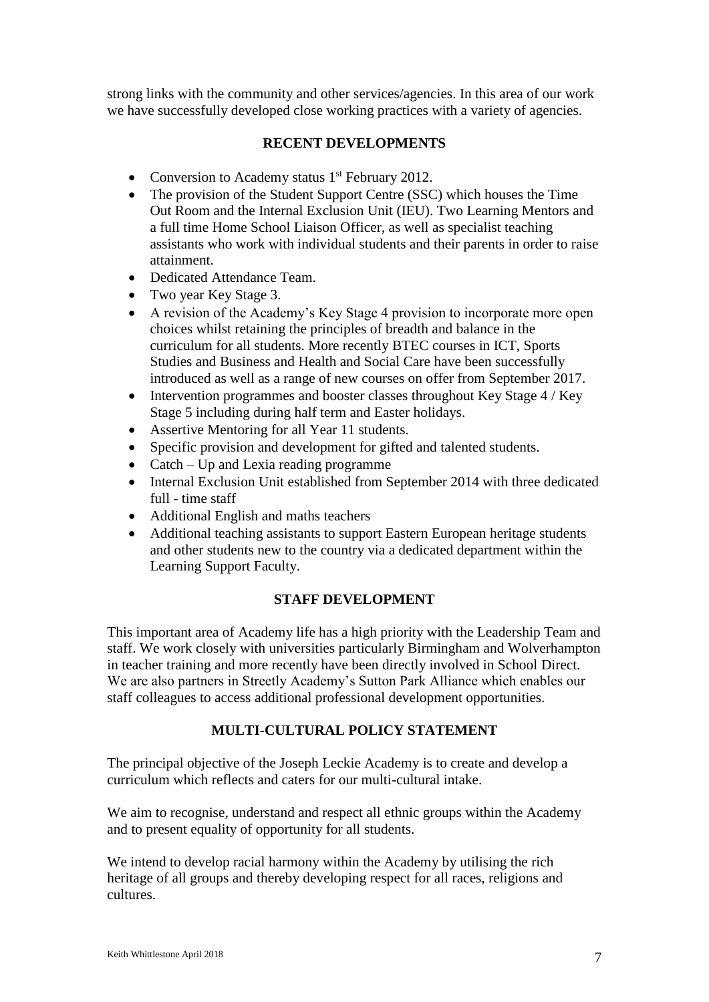strong links with the community and other services/agencies. In this area of our work we have successfully developed close working practices with a variety of agencies.

# **RECENT DEVELOPMENTS**

- Conversion to Academy status  $1<sup>st</sup>$  February 2012.
- The provision of the Student Support Centre (SSC) which houses the Time Out Room and the Internal Exclusion Unit (IEU). Two Learning Mentors and a full time Home School Liaison Officer, as well as specialist teaching assistants who work with individual students and their parents in order to raise attainment.
- Dedicated Attendance Team.
- Two year Key Stage 3.
- A revision of the Academy's Key Stage 4 provision to incorporate more open choices whilst retaining the principles of breadth and balance in the curriculum for all students. More recently BTEC courses in ICT, Sports Studies and Business and Health and Social Care have been successfully introduced as well as a range of new courses on offer from September 2017.
- Intervention programmes and booster classes throughout Key Stage 4 / Key Stage 5 including during half term and Easter holidays.
- Assertive Mentoring for all Year 11 students.
- Specific provision and development for gifted and talented students.
- Catch Up and Lexia reading programme
- Internal Exclusion Unit established from September 2014 with three dedicated full - time staff
- Additional English and maths teachers
- Additional teaching assistants to support Eastern European heritage students and other students new to the country via a dedicated department within the Learning Support Faculty.

### **STAFF DEVELOPMENT**

This important area of Academy life has a high priority with the Leadership Team and staff. We work closely with universities particularly Birmingham and Wolverhampton in teacher training and more recently have been directly involved in School Direct. We are also partners in Streetly Academy's Sutton Park Alliance which enables our staff colleagues to access additional professional development opportunities.

### **MULTI-CULTURAL POLICY STATEMENT**

The principal objective of the Joseph Leckie Academy is to create and develop a curriculum which reflects and caters for our multi-cultural intake.

We aim to recognise, understand and respect all ethnic groups within the Academy and to present equality of opportunity for all students.

We intend to develop racial harmony within the Academy by utilising the rich heritage of all groups and thereby developing respect for all races, religions and cultures.